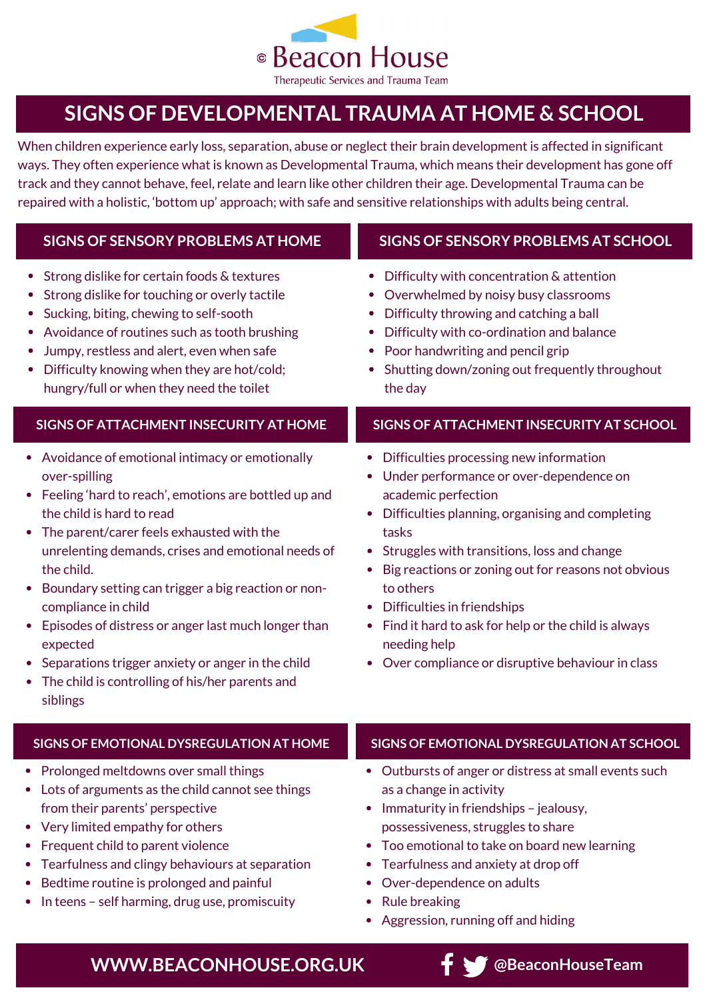

## **SIGNS OF DEVELOPMENTAL TRAUMA AT HOME & SCHOOL**

When children experience early loss, separation, abuse or neglect their brain development is affected in significant ways. They often experience what is known as Developmental Trauma, which means their development has gone off track and they cannot behave, feel, relate and learn like other children their age. Developmental Trauma can be repaired with a holistic, 'bottom up' approach; with safe and sensitive relationships with adults being central.

| <b>SIGNS OF SENSORY PROBLEMS AT HOME</b>                                                                                                                                                                                                                                                                                                                                                                                                                                                                                                                    | SIGNS OF SENSORY PROBLEMS AT SCHOOL                                                                                                                                                                                                                                                                                                                                                                                                                 |
|-------------------------------------------------------------------------------------------------------------------------------------------------------------------------------------------------------------------------------------------------------------------------------------------------------------------------------------------------------------------------------------------------------------------------------------------------------------------------------------------------------------------------------------------------------------|-----------------------------------------------------------------------------------------------------------------------------------------------------------------------------------------------------------------------------------------------------------------------------------------------------------------------------------------------------------------------------------------------------------------------------------------------------|
| Strong dislike for certain foods & textures<br>$\bullet$<br>Strong dislike for touching or overly tactile<br>Sucking, biting, chewing to self-sooth<br>Avoidance of routines such as tooth brushing<br>Jumpy, restless and alert, even when safe<br>Difficulty knowing when they are hot/cold;<br>hungry/full or when they need the toilet                                                                                                                                                                                                                  | Difficulty with concentration & attention<br>Overwhelmed by noisy busy classrooms<br>Difficulty throwing and catching a ball<br>٠<br>Difficulty with co-ordination and balance<br>Poor handwriting and pencil grip<br>Shutting down/zoning out frequently throughout<br>the day                                                                                                                                                                     |
| SIGNS OF ATTACHMENT INSECURITY AT HOME                                                                                                                                                                                                                                                                                                                                                                                                                                                                                                                      | SIGNS OF ATTACHMENT INSECURITY AT SCHOOL                                                                                                                                                                                                                                                                                                                                                                                                            |
| • Avoidance of emotional intimacy or emotionally<br>over-spilling<br>• Feeling 'hard to reach', emotions are bottled up and<br>the child is hard to read<br>The parent/carer feels exhausted with the<br>$\bullet$<br>unrelenting demands, crises and emotional needs of<br>the child.<br>Boundary setting can trigger a big reaction or non-<br>compliance in child<br>Episodes of distress or anger last much longer than<br>expected<br>Separations trigger anxiety or anger in the child<br>The child is controlling of his/her parents and<br>siblings | Difficulties processing new information<br>Under performance or over-dependence on<br>academic perfection<br>Difficulties planning, organising and completing<br>tasks<br>Struggles with transitions, loss and change<br>Big reactions or zoning out for reasons not obvious<br>to others<br>Difficulties in friendships<br>Find it hard to ask for help or the child is always<br>needing help<br>Over compliance or disruptive behaviour in class |
| <b>SIGNS OF EMOTIONAL DYSREGULATION AT HOME</b>                                                                                                                                                                                                                                                                                                                                                                                                                                                                                                             | SIGNS OF EMOTIONAL DYSREGULATION AT SCHOOL                                                                                                                                                                                                                                                                                                                                                                                                          |
| Prolonged meltdowns over small things<br>Lots of arguments as the child cannot see things<br>from their parents' perspective<br>Very limited empathy for others<br>$\bullet$<br>Frequent child to parent violence<br>Tearfulness and clingy behaviours at separation<br>Bedtime routine is prolonged and painful<br>In teens - self harming, drug use, promiscuity                                                                                                                                                                                          | • Outbursts of anger or distress at small events such<br>as a change in activity<br>Immaturity in friendships - jealousy,<br>$\bullet$<br>possessiveness, struggles to share<br>Too emotional to take on board new learning<br>Tearfulness and anxiety at drop off<br>Over-dependence on adults<br><b>Rule breaking</b><br>٠<br>Aggression, running off and hiding                                                                                  |

**WWW.BEACONHOUSE.ORG.UK fighter of the SeconHouseTeam**